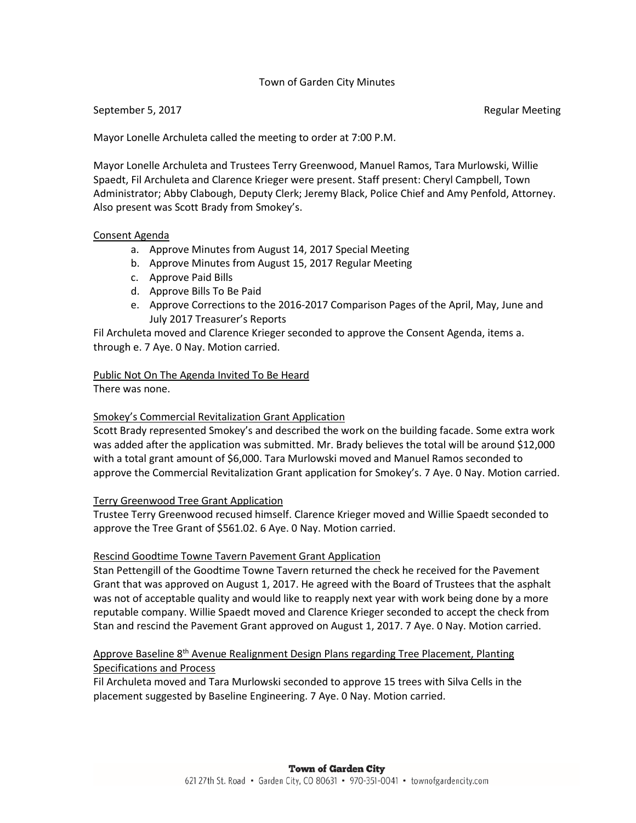#### Town of Garden City Minutes

#### September 5, 2017 **Regular Meeting** September 5, 2017

Mayor Lonelle Archuleta called the meeting to order at 7:00 P.M.

Mayor Lonelle Archuleta and Trustees Terry Greenwood, Manuel Ramos, Tara Murlowski, Willie Spaedt, Fil Archuleta and Clarence Krieger were present. Staff present: Cheryl Campbell, Town Administrator; Abby Clabough, Deputy Clerk; Jeremy Black, Police Chief and Amy Penfold, Attorney. Also present was Scott Brady from Smokey's.

#### Consent Agenda

- a. Approve Minutes from August 14, 2017 Special Meeting
- b. Approve Minutes from August 15, 2017 Regular Meeting
- c. Approve Paid Bills
- d. Approve Bills To Be Paid
- e. Approve Corrections to the 2016-2017 Comparison Pages of the April, May, June and July 2017 Treasurer's Reports

Fil Archuleta moved and Clarence Krieger seconded to approve the Consent Agenda, items a. through e. 7 Aye. 0 Nay. Motion carried.

# Public Not On The Agenda Invited To Be Heard

There was none.

# Smokey's Commercial Revitalization Grant Application

Scott Brady represented Smokey's and described the work on the building facade. Some extra work was added after the application was submitted. Mr. Brady believes the total will be around \$12,000 with a total grant amount of \$6,000. Tara Murlowski moved and Manuel Ramos seconded to approve the Commercial Revitalization Grant application for Smokey's. 7 Aye. 0 Nay. Motion carried.

# Terry Greenwood Tree Grant Application

Trustee Terry Greenwood recused himself. Clarence Krieger moved and Willie Spaedt seconded to approve the Tree Grant of \$561.02. 6 Aye. 0 Nay. Motion carried.

# Rescind Goodtime Towne Tavern Pavement Grant Application

Stan Pettengill of the Goodtime Towne Tavern returned the check he received for the Pavement Grant that was approved on August 1, 2017. He agreed with the Board of Trustees that the asphalt was not of acceptable quality and would like to reapply next year with work being done by a more reputable company. Willie Spaedt moved and Clarence Krieger seconded to accept the check from Stan and rescind the Pavement Grant approved on August 1, 2017. 7 Aye. 0 Nay. Motion carried.

# Approve Baseline 8<sup>th</sup> Avenue Realignment Design Plans regarding Tree Placement, Planting Specifications and Process

Fil Archuleta moved and Tara Murlowski seconded to approve 15 trees with Silva Cells in the placement suggested by Baseline Engineering. 7 Aye. 0 Nay. Motion carried.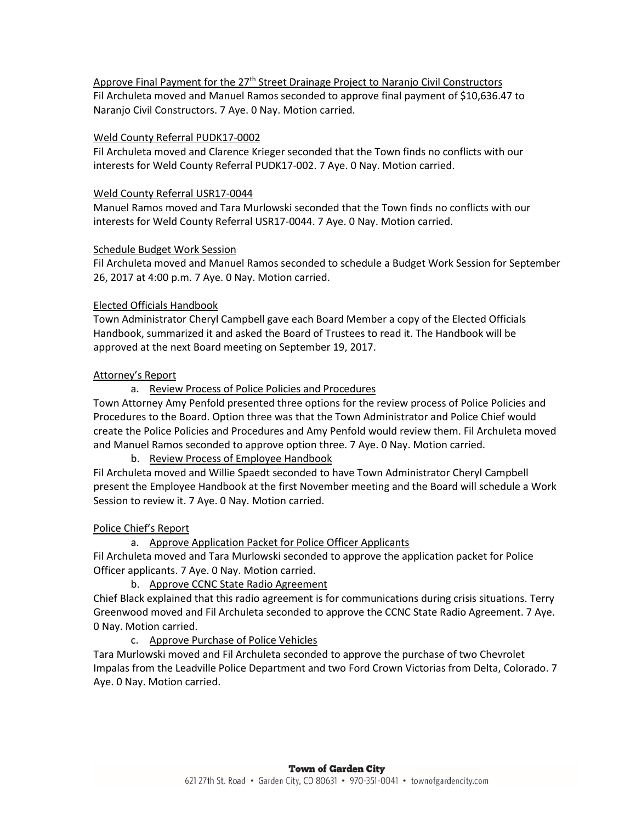Approve Final Payment for the 27<sup>th</sup> Street Drainage Project to Naranjo Civil Constructors Fil Archuleta moved and Manuel Ramos seconded to approve final payment of \$10,636.47 to Naranjo Civil Constructors. 7 Aye. 0 Nay. Motion carried.

#### Weld County Referral PUDK17-0002

Fil Archuleta moved and Clarence Krieger seconded that the Town finds no conflicts with our interests for Weld County Referral PUDK17-002. 7 Aye. 0 Nay. Motion carried.

#### Weld County Referral USR17-0044

Manuel Ramos moved and Tara Murlowski seconded that the Town finds no conflicts with our interests for Weld County Referral USR17-0044. 7 Aye. 0 Nay. Motion carried.

#### Schedule Budget Work Session

Fil Archuleta moved and Manuel Ramos seconded to schedule a Budget Work Session for September 26, 2017 at 4:00 p.m. 7 Aye. 0 Nay. Motion carried.

# Elected Officials Handbook

Town Administrator Cheryl Campbell gave each Board Member a copy of the Elected Officials Handbook, summarized it and asked the Board of Trustees to read it. The Handbook will be approved at the next Board meeting on September 19, 2017.

#### Attorney's Report

a. Review Process of Police Policies and Procedures

Town Attorney Amy Penfold presented three options for the review process of Police Policies and Procedures to the Board. Option three was that the Town Administrator and Police Chief would create the Police Policies and Procedures and Amy Penfold would review them. Fil Archuleta moved and Manuel Ramos seconded to approve option three. 7 Aye. 0 Nay. Motion carried.

# b. Review Process of Employee Handbook

Fil Archuleta moved and Willie Spaedt seconded to have Town Administrator Cheryl Campbell present the Employee Handbook at the first November meeting and the Board will schedule a Work Session to review it. 7 Aye. 0 Nay. Motion carried.

# Police Chief's Report

a. Approve Application Packet for Police Officer Applicants

Fil Archuleta moved and Tara Murlowski seconded to approve the application packet for Police Officer applicants. 7 Aye. 0 Nay. Motion carried.

b. Approve CCNC State Radio Agreement

Chief Black explained that this radio agreement is for communications during crisis situations. Terry Greenwood moved and Fil Archuleta seconded to approve the CCNC State Radio Agreement. 7 Aye. 0 Nay. Motion carried.

c. Approve Purchase of Police Vehicles

Tara Murlowski moved and Fil Archuleta seconded to approve the purchase of two Chevrolet Impalas from the Leadville Police Department and two Ford Crown Victorias from Delta, Colorado. 7 Aye. 0 Nay. Motion carried.